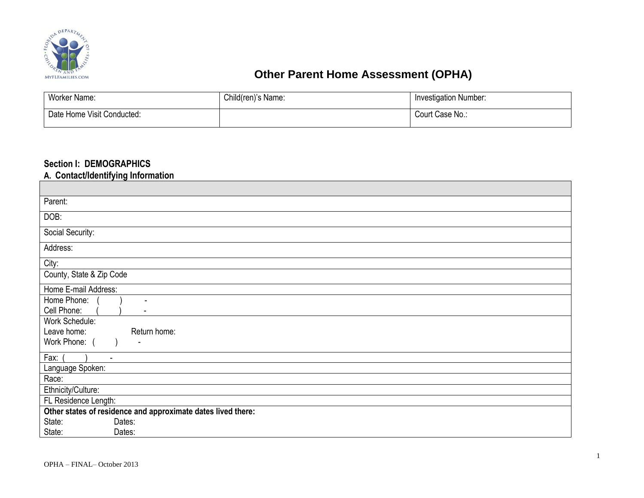

# **CORPORATE ASSESSMENT (OPHA) Other Parent Home Assessment (OPHA)**

| <b>Worker Name:</b>        | Child(ren)'s Name: | <b>Investigation Number:</b> |
|----------------------------|--------------------|------------------------------|
| Date Home Visit Conducted: |                    | Court Case No.:              |

### **Section I: DEMOGRAPHICS**

**A. Contact/Identifying Information**

| Parent:                                                      |  |  |  |  |  |
|--------------------------------------------------------------|--|--|--|--|--|
| DOB:                                                         |  |  |  |  |  |
| Social Security:                                             |  |  |  |  |  |
| Address:                                                     |  |  |  |  |  |
| City:                                                        |  |  |  |  |  |
| County, State & Zip Code                                     |  |  |  |  |  |
| Home E-mail Address:                                         |  |  |  |  |  |
| Home Phone:<br>$\overline{\phantom{a}}$<br>Cell Phone:       |  |  |  |  |  |
| Work Schedule:                                               |  |  |  |  |  |
| Leave home:<br>Return home:                                  |  |  |  |  |  |
| Work Phone: (                                                |  |  |  |  |  |
| Fax:<br>$\blacksquare$                                       |  |  |  |  |  |
| Language Spoken:                                             |  |  |  |  |  |
| Race:                                                        |  |  |  |  |  |
| Ethnicity/Culture:                                           |  |  |  |  |  |
| FL Residence Length:                                         |  |  |  |  |  |
| Other states of residence and approximate dates lived there: |  |  |  |  |  |
| State:<br>Dates:                                             |  |  |  |  |  |
| State:<br>Dates:                                             |  |  |  |  |  |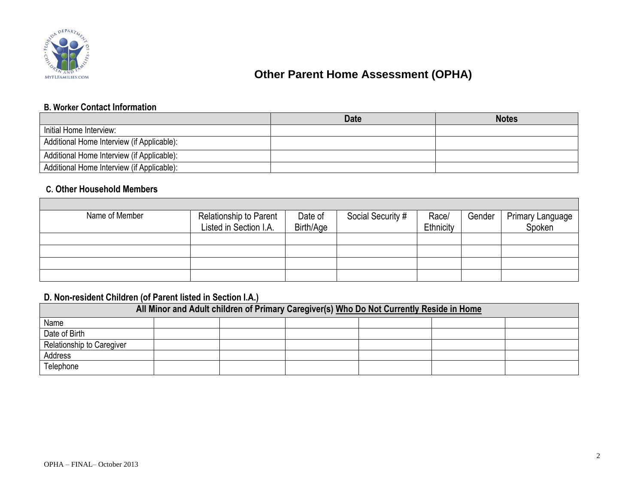

Г

# **CORPORATION CONSTRUCTED ASSESSMENT (OPHA)**

### **B. Worker Contact Information**

|                                            | <b>Date</b> | <b>Notes</b> |
|--------------------------------------------|-------------|--------------|
| Initial Home Interview:                    |             |              |
| Additional Home Interview (if Applicable): |             |              |
| Additional Home Interview (if Applicable): |             |              |
| Additional Home Interview (if Applicable): |             |              |

## **C. Other Household Members**

| Name of Member | Relationship to Parent | Date of   | Social Security # | Race/     | Gender | Primary Language |
|----------------|------------------------|-----------|-------------------|-----------|--------|------------------|
|                | Listed in Section I.A. | Birth/Age |                   | Ethnicity |        | Spoken           |
|                |                        |           |                   |           |        |                  |
|                |                        |           |                   |           |        |                  |
|                |                        |           |                   |           |        |                  |
|                |                        |           |                   |           |        |                  |

## **D. Non-resident Children (of Parent listed in Section I.A.)**

| All Minor and Adult children of Primary Caregiver(s) Who Do Not Currently Reside in Home |  |  |  |  |  |  |
|------------------------------------------------------------------------------------------|--|--|--|--|--|--|
| Name                                                                                     |  |  |  |  |  |  |
| Date of Birth                                                                            |  |  |  |  |  |  |
| Relationship to Caregiver                                                                |  |  |  |  |  |  |
| Address                                                                                  |  |  |  |  |  |  |
| Telephone                                                                                |  |  |  |  |  |  |

 $\overline{\phantom{a}}$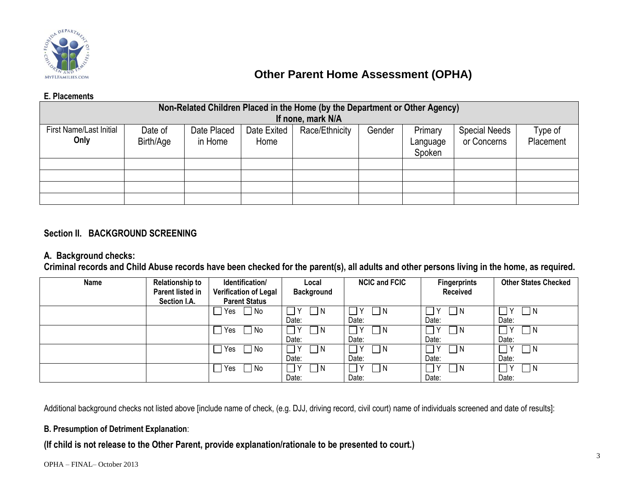

## **Other Parent Home Assessment (OPHA)**

#### **E. Placements**

|                                | Non-Related Children Placed in the Home (by the Department or Other Agency) |             |             |                   |        |          |                      |           |
|--------------------------------|-----------------------------------------------------------------------------|-------------|-------------|-------------------|--------|----------|----------------------|-----------|
|                                |                                                                             |             |             | If none, mark N/A |        |          |                      |           |
| <b>First Name/Last Initial</b> | Date of                                                                     | Date Placed | Date Exited | Race/Ethnicity    | Gender | Primary  | <b>Special Needs</b> | Type of   |
| Only                           | Birth/Age                                                                   | in Home     | Home        |                   |        | Language | or Concerns          | Placement |
|                                |                                                                             |             |             |                   |        | Spoken   |                      |           |
|                                |                                                                             |             |             |                   |        |          |                      |           |
|                                |                                                                             |             |             |                   |        |          |                      |           |
|                                |                                                                             |             |             |                   |        |          |                      |           |
|                                |                                                                             |             |             |                   |        |          |                      |           |

### **Section II. BACKGROUND SCREENING**

### **A. Background checks:**

**Criminal records and Child Abuse records have been checked for the parent(s), all adults and other persons living in the home, as required.**

| Name | <b>Relationship to</b> | Identification/       | Local             | <b>NCIC and FCIC</b> | <b>Fingerprints</b> | <b>Other States Checked</b> |
|------|------------------------|-----------------------|-------------------|----------------------|---------------------|-----------------------------|
|      | Parent listed in       | Verification of Legal | <b>Background</b> |                      | Received            |                             |
|      | Section I.A.           | <b>Parent Status</b>  |                   |                      |                     |                             |
|      |                        | ∏ No<br>Yes           | - I N             | - I N                | 1 N                 |                             |
|      |                        |                       | Date:             | Date:                | Date:               | Date:                       |
|      |                        | ∃ No<br>Yes           | ∩ N               | - I N                | I N                 | IN.                         |
|      |                        |                       | Date:             | Date:                | Date:               | Date:                       |
|      |                        | 7 No<br>Yes           | ٦N                | - I N                | I N                 |                             |
|      |                        |                       | Date:             | Date:                | Date:               | Date:                       |
|      |                        | No<br>Yes             | $\neg$ N          | - I N                | l N                 | IN.                         |
|      |                        |                       | Date:             | Date:                | Date:               | Date:                       |

Additional background checks not listed above [include name of check, (e.g. DJJ, driving record, civil court) name of individuals screened and date of results]:

### **B. Presumption of Detriment Explanation**:

**(If child is not release to the Other Parent, provide explanation/rationale to be presented to court.)**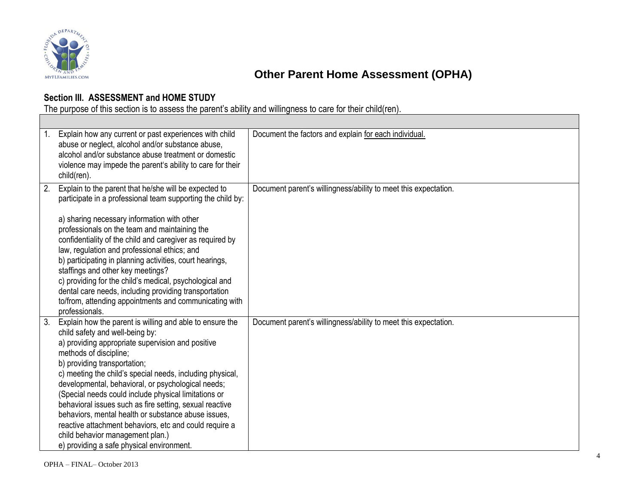

# **CONSTRUCTED ASSESSMENT (OPHA)**

## **Section III. ASSESSMENT and HOME STUDY**

The purpose of this section is to assess the parent's ability and willingness to care for their child(ren).

| $1_{\cdot}$ | Explain how any current or past experiences with child<br>abuse or neglect, alcohol and/or substance abuse,<br>alcohol and/or substance abuse treatment or domestic<br>violence may impede the parent's ability to care for their<br>child(ren).                                                                                                                                                                                                                                                                                                                                                                                                   | Document the factors and explain for each individual.           |
|-------------|----------------------------------------------------------------------------------------------------------------------------------------------------------------------------------------------------------------------------------------------------------------------------------------------------------------------------------------------------------------------------------------------------------------------------------------------------------------------------------------------------------------------------------------------------------------------------------------------------------------------------------------------------|-----------------------------------------------------------------|
| 2.          | Explain to the parent that he/she will be expected to<br>participate in a professional team supporting the child by:<br>a) sharing necessary information with other<br>professionals on the team and maintaining the<br>confidentiality of the child and caregiver as required by<br>law, regulation and professional ethics; and<br>b) participating in planning activities, court hearings,<br>staffings and other key meetings?<br>c) providing for the child's medical, psychological and<br>dental care needs, including providing transportation<br>to/from, attending appointments and communicating with<br>professionals.                 | Document parent's willingness/ability to meet this expectation. |
| 3.          | Explain how the parent is willing and able to ensure the<br>child safety and well-being by:<br>a) providing appropriate supervision and positive<br>methods of discipline;<br>b) providing transportation;<br>c) meeting the child's special needs, including physical,<br>developmental, behavioral, or psychological needs;<br>(Special needs could include physical limitations or<br>behavioral issues such as fire setting, sexual reactive<br>behaviors, mental health or substance abuse issues,<br>reactive attachment behaviors, etc and could require a<br>child behavior management plan.)<br>e) providing a safe physical environment. | Document parent's willingness/ability to meet this expectation. |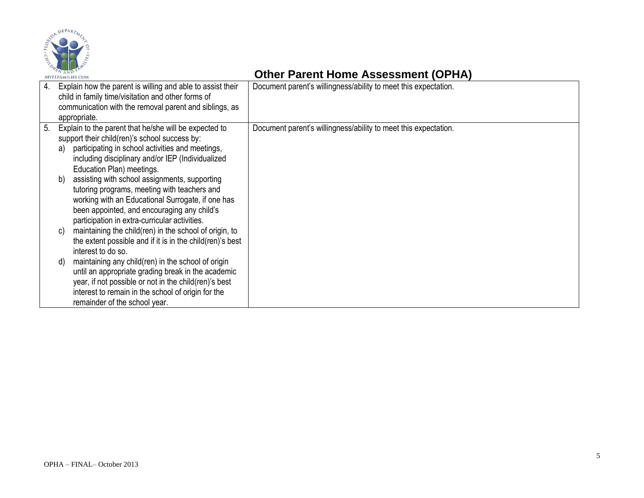

## **Canal Assessment (OPHA) Other Parent Home Assessment (OPHA)**

| 4. | Explain how the parent is willing and able to assist their<br>child in family time/visitation and other forms of<br>communication with the removal parent and siblings, as<br>appropriate.                                                                                                                                                                                                                                                                                                                                                                                                                                                                                                                                                                                                                                                                                                                                           | Document parent's willingness/ability to meet this expectation. |
|----|--------------------------------------------------------------------------------------------------------------------------------------------------------------------------------------------------------------------------------------------------------------------------------------------------------------------------------------------------------------------------------------------------------------------------------------------------------------------------------------------------------------------------------------------------------------------------------------------------------------------------------------------------------------------------------------------------------------------------------------------------------------------------------------------------------------------------------------------------------------------------------------------------------------------------------------|-----------------------------------------------------------------|
| 5. | Explain to the parent that he/she will be expected to<br>support their child(ren)'s school success by:<br>participating in school activities and meetings,<br>a)<br>including disciplinary and/or IEP (Individualized<br>Education Plan) meetings.<br>assisting with school assignments, supporting<br>b)<br>tutoring programs, meeting with teachers and<br>working with an Educational Surrogate, if one has<br>been appointed, and encouraging any child's<br>participation in extra-curricular activities.<br>maintaining the child(ren) in the school of origin, to<br>C)<br>the extent possible and if it is in the child (ren)'s best<br>interest to do so.<br>maintaining any child(ren) in the school of origin<br>d)<br>until an appropriate grading break in the academic<br>year, if not possible or not in the child(ren)'s best<br>interest to remain in the school of origin for the<br>remainder of the school year. | Document parent's willingness/ability to meet this expectation. |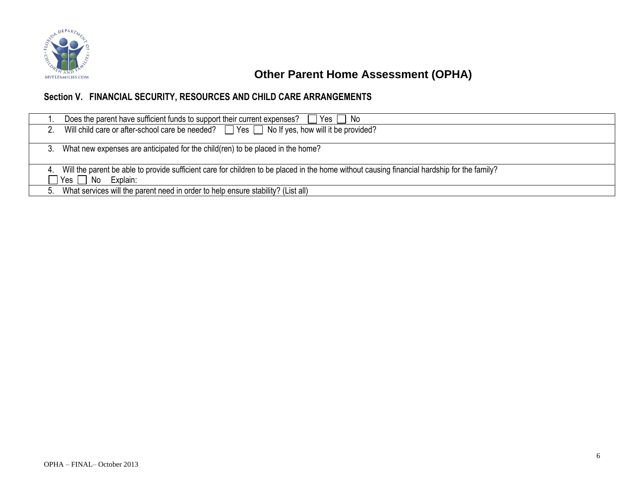

# **CORPRETENDING CORPRETE CONSTRUCTED ASSESSMENT (OPHA)**

## **Section V. FINANCIAL SECURITY, RESOURCES AND CHILD CARE ARRANGEMENTS**

|   | Does the parent have sufficient funds to support their current expenses?<br>  No<br>Yes                                                                                                  |
|---|------------------------------------------------------------------------------------------------------------------------------------------------------------------------------------------|
|   | Will child care or after-school care be needed? $\Box$ Yes $\Box$ No If yes, how will it be provided?                                                                                    |
|   | What new expenses are anticipated for the child (ren) to be placed in the home?                                                                                                          |
| 4 | Will the parent be able to provide sufficient care for children to be placed in the home without causing financial hardship for the family?<br>No<br>$\sqsupset$ Yes $_\bot$<br>Explain: |
|   | 5. What services will the parent need in order to help ensure stability? (List all)                                                                                                      |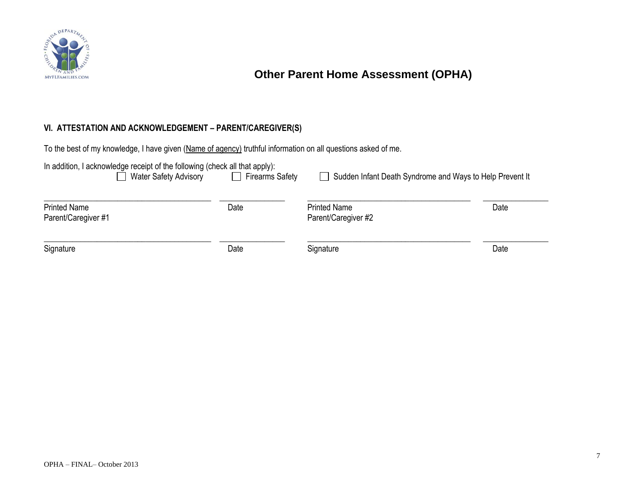

# **CORPORATION CONSTRUCTED ASSESSMENT (OPHA)**

### **VI. ATTESTATION AND ACKNOWLEDGEMENT – PARENT/CAREGIVER(S)**

To the best of my knowledge, I have given (Name of agency) truthful information on all questions asked of me.

| $\Box$ Firearms Safety | Sudden Infant Death Syndrome and Ways to Help Prevent It                                                            |      |
|------------------------|---------------------------------------------------------------------------------------------------------------------|------|
|                        |                                                                                                                     |      |
|                        | <b>Printed Name</b>                                                                                                 | Date |
|                        | Parent/Caregiver #2                                                                                                 |      |
|                        |                                                                                                                     |      |
| Date                   | Signature                                                                                                           | Date |
|                        | In addition, I acknowledge receipt of the following (check all that apply):<br><b>Water Safety Advisory</b><br>Date |      |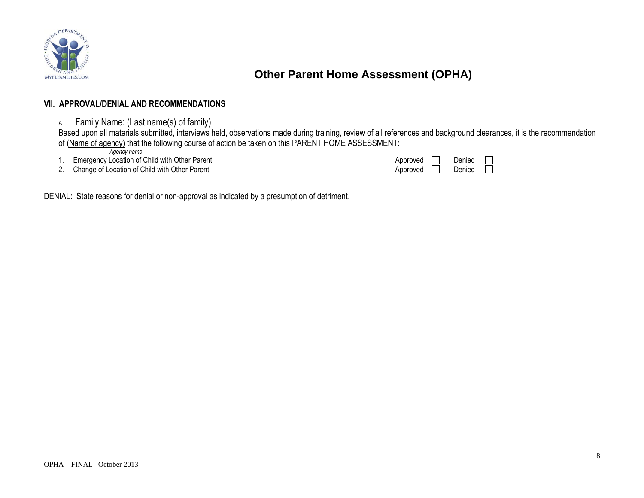

## **Other Parent Home Assessment (OPHA)**

#### **VII. APPROVAL/DENIAL AND RECOMMENDATIONS**

### A. Family Name: (Last name(s) of family)

Based upon all materials submitted, interviews held, observations made during training, review of all references and background clearances, it is the recommendation of (Name of agency) that the following course of action be taken on this PARENT HOME ASSESSMENT:

*Agency name*

1. Emergency Location of Child with Other Parent

|  | 2. Change of Location of Child with Other Parent | Approved Denied |  |
|--|--------------------------------------------------|-----------------|--|
|--|--------------------------------------------------|-----------------|--|

| Approved | Denied |  |
|----------|--------|--|
| Approved | Denied |  |

DENIAL: State reasons for denial or non-approval as indicated by a presumption of detriment.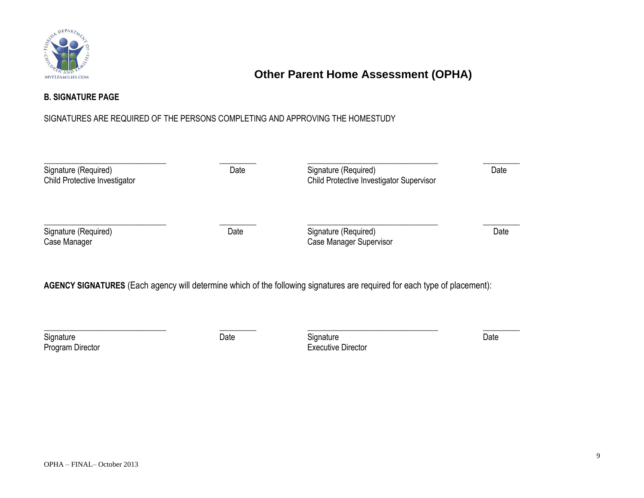

# **Other Parent Home Assessment (OPHA)**

### **B. SIGNATURE PAGE**

### SIGNATURES ARE REQUIRED OF THE PERSONS COMPLETING AND APPROVING THE HOMESTUDY

| Signature (Required)<br>Child Protective Investigator | Date | Signature (Required)<br>Child Protective Investigator Supervisor | Date |
|-------------------------------------------------------|------|------------------------------------------------------------------|------|
| Signature (Required)<br>Case Manager                  | Date | Signature (Required)<br>Case Manager Supervisor                  | Date |

## **AGENCY SIGNATURES** (Each agency will determine which of the following signatures are required for each type of placement):

\_\_\_\_\_\_\_\_\_\_\_\_\_\_\_\_\_\_\_\_\_\_\_\_\_\_\_\_\_\_ \_\_\_\_\_\_\_\_\_ \_\_\_\_\_\_\_\_\_\_\_\_\_\_\_\_\_\_\_\_\_\_\_\_\_\_\_\_\_\_\_\_ \_\_\_\_\_\_\_\_\_

Signature **Signature** Date **Contract Contract Date** Signature Signature **Contract Contract Date** Program Director **Executive Director Executive Director**